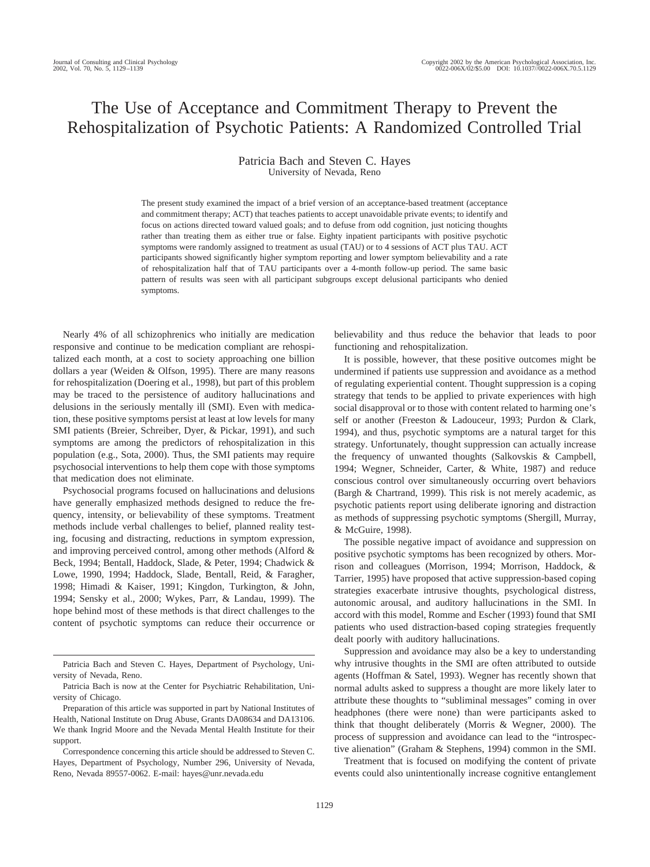# The Use of Acceptance and Commitment Therapy to Prevent the Rehospitalization of Psychotic Patients: A Randomized Controlled Trial

## Patricia Bach and Steven C. Hayes University of Nevada, Reno

The present study examined the impact of a brief version of an acceptance-based treatment (acceptance and commitment therapy; ACT) that teaches patients to accept unavoidable private events; to identify and focus on actions directed toward valued goals; and to defuse from odd cognition, just noticing thoughts rather than treating them as either true or false. Eighty inpatient participants with positive psychotic symptoms were randomly assigned to treatment as usual (TAU) or to 4 sessions of ACT plus TAU. ACT participants showed significantly higher symptom reporting and lower symptom believability and a rate of rehospitalization half that of TAU participants over a 4-month follow-up period. The same basic pattern of results was seen with all participant subgroups except delusional participants who denied symptoms.

Nearly 4% of all schizophrenics who initially are medication responsive and continue to be medication compliant are rehospitalized each month, at a cost to society approaching one billion dollars a year (Weiden & Olfson, 1995). There are many reasons for rehospitalization (Doering et al., 1998), but part of this problem may be traced to the persistence of auditory hallucinations and delusions in the seriously mentally ill (SMI). Even with medication, these positive symptoms persist at least at low levels for many SMI patients (Breier, Schreiber, Dyer, & Pickar, 1991), and such symptoms are among the predictors of rehospitalization in this population (e.g., Sota, 2000). Thus, the SMI patients may require psychosocial interventions to help them cope with those symptoms that medication does not eliminate.

Psychosocial programs focused on hallucinations and delusions have generally emphasized methods designed to reduce the frequency, intensity, or believability of these symptoms. Treatment methods include verbal challenges to belief, planned reality testing, focusing and distracting, reductions in symptom expression, and improving perceived control, among other methods (Alford & Beck, 1994; Bentall, Haddock, Slade, & Peter, 1994; Chadwick & Lowe, 1990, 1994; Haddock, Slade, Bentall, Reid, & Faragher, 1998; Himadi & Kaiser, 1991; Kingdon, Turkington, & John, 1994; Sensky et al., 2000; Wykes, Parr, & Landau, 1999). The hope behind most of these methods is that direct challenges to the content of psychotic symptoms can reduce their occurrence or

believability and thus reduce the behavior that leads to poor functioning and rehospitalization.

It is possible, however, that these positive outcomes might be undermined if patients use suppression and avoidance as a method of regulating experiential content. Thought suppression is a coping strategy that tends to be applied to private experiences with high social disapproval or to those with content related to harming one's self or another (Freeston & Ladouceur, 1993; Purdon & Clark, 1994), and thus, psychotic symptoms are a natural target for this strategy. Unfortunately, thought suppression can actually increase the frequency of unwanted thoughts (Salkovskis & Campbell, 1994; Wegner, Schneider, Carter, & White, 1987) and reduce conscious control over simultaneously occurring overt behaviors (Bargh & Chartrand, 1999). This risk is not merely academic, as psychotic patients report using deliberate ignoring and distraction as methods of suppressing psychotic symptoms (Shergill, Murray, & McGuire, 1998).

The possible negative impact of avoidance and suppression on positive psychotic symptoms has been recognized by others. Morrison and colleagues (Morrison, 1994; Morrison, Haddock, & Tarrier, 1995) have proposed that active suppression-based coping strategies exacerbate intrusive thoughts, psychological distress, autonomic arousal, and auditory hallucinations in the SMI. In accord with this model, Romme and Escher (1993) found that SMI patients who used distraction-based coping strategies frequently dealt poorly with auditory hallucinations.

Suppression and avoidance may also be a key to understanding why intrusive thoughts in the SMI are often attributed to outside agents (Hoffman & Satel, 1993). Wegner has recently shown that normal adults asked to suppress a thought are more likely later to attribute these thoughts to "subliminal messages" coming in over headphones (there were none) than were participants asked to think that thought deliberately (Morris & Wegner, 2000). The process of suppression and avoidance can lead to the "introspective alienation" (Graham & Stephens, 1994) common in the SMI.

Treatment that is focused on modifying the content of private events could also unintentionally increase cognitive entanglement

Patricia Bach and Steven C. Hayes, Department of Psychology, University of Nevada, Reno.

Patricia Bach is now at the Center for Psychiatric Rehabilitation, University of Chicago.

Preparation of this article was supported in part by National Institutes of Health, National Institute on Drug Abuse, Grants DA08634 and DA13106. We thank Ingrid Moore and the Nevada Mental Health Institute for their support.

Correspondence concerning this article should be addressed to Steven C. Hayes, Department of Psychology, Number 296, University of Nevada, Reno, Nevada 89557-0062. E-mail: hayes@unr.nevada.edu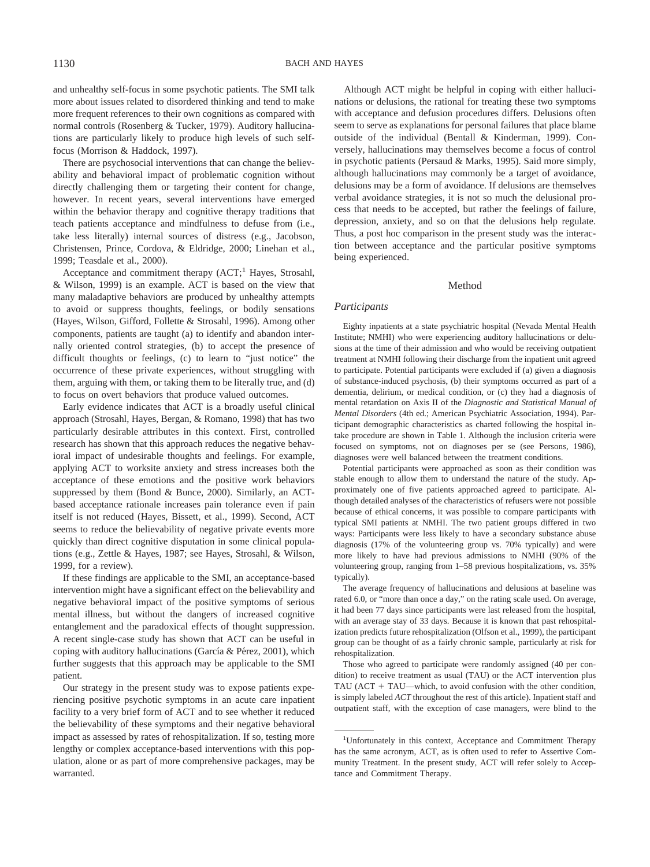and unhealthy self-focus in some psychotic patients. The SMI talk more about issues related to disordered thinking and tend to make more frequent references to their own cognitions as compared with normal controls (Rosenberg & Tucker, 1979). Auditory hallucinations are particularly likely to produce high levels of such selffocus (Morrison & Haddock, 1997).

There are psychosocial interventions that can change the believability and behavioral impact of problematic cognition without directly challenging them or targeting their content for change, however. In recent years, several interventions have emerged within the behavior therapy and cognitive therapy traditions that teach patients acceptance and mindfulness to defuse from (i.e., take less literally) internal sources of distress (e.g., Jacobson, Christensen, Prince, Cordova, & Eldridge, 2000; Linehan et al., 1999; Teasdale et al., 2000).

Acceptance and commitment therapy (ACT;<sup>1</sup> Hayes, Strosahl, & Wilson, 1999) is an example. ACT is based on the view that many maladaptive behaviors are produced by unhealthy attempts to avoid or suppress thoughts, feelings, or bodily sensations (Hayes, Wilson, Gifford, Follette & Strosahl, 1996). Among other components, patients are taught (a) to identify and abandon internally oriented control strategies, (b) to accept the presence of difficult thoughts or feelings, (c) to learn to "just notice" the occurrence of these private experiences, without struggling with them, arguing with them, or taking them to be literally true, and (d) to focus on overt behaviors that produce valued outcomes.

Early evidence indicates that ACT is a broadly useful clinical approach (Strosahl, Hayes, Bergan, & Romano, 1998) that has two particularly desirable attributes in this context. First, controlled research has shown that this approach reduces the negative behavioral impact of undesirable thoughts and feelings. For example, applying ACT to worksite anxiety and stress increases both the acceptance of these emotions and the positive work behaviors suppressed by them (Bond & Bunce, 2000). Similarly, an ACTbased acceptance rationale increases pain tolerance even if pain itself is not reduced (Hayes, Bissett, et al., 1999). Second, ACT seems to reduce the believability of negative private events more quickly than direct cognitive disputation in some clinical populations (e.g., Zettle & Hayes, 1987; see Hayes, Strosahl, & Wilson, 1999, for a review).

If these findings are applicable to the SMI, an acceptance-based intervention might have a significant effect on the believability and negative behavioral impact of the positive symptoms of serious mental illness, but without the dangers of increased cognitive entanglement and the paradoxical effects of thought suppression. A recent single-case study has shown that ACT can be useful in coping with auditory hallucinations (García & Pérez, 2001), which further suggests that this approach may be applicable to the SMI patient.

Our strategy in the present study was to expose patients experiencing positive psychotic symptoms in an acute care inpatient facility to a very brief form of ACT and to see whether it reduced the believability of these symptoms and their negative behavioral impact as assessed by rates of rehospitalization. If so, testing more lengthy or complex acceptance-based interventions with this population, alone or as part of more comprehensive packages, may be warranted.

Although ACT might be helpful in coping with either hallucinations or delusions, the rational for treating these two symptoms with acceptance and defusion procedures differs. Delusions often seem to serve as explanations for personal failures that place blame outside of the individual (Bentall & Kinderman, 1999). Conversely, hallucinations may themselves become a focus of control in psychotic patients (Persaud & Marks, 1995). Said more simply, although hallucinations may commonly be a target of avoidance, delusions may be a form of avoidance. If delusions are themselves verbal avoidance strategies, it is not so much the delusional process that needs to be accepted, but rather the feelings of failure, depression, anxiety, and so on that the delusions help regulate. Thus, a post hoc comparison in the present study was the interaction between acceptance and the particular positive symptoms being experienced.

#### Method

#### *Participants*

Eighty inpatients at a state psychiatric hospital (Nevada Mental Health Institute; NMHI) who were experiencing auditory hallucinations or delusions at the time of their admission and who would be receiving outpatient treatment at NMHI following their discharge from the inpatient unit agreed to participate. Potential participants were excluded if (a) given a diagnosis of substance-induced psychosis, (b) their symptoms occurred as part of a dementia, delirium, or medical condition, or (c) they had a diagnosis of mental retardation on Axis II of the *Diagnostic and Statistical Manual of Mental Disorders* (4th ed.; American Psychiatric Association, 1994). Participant demographic characteristics as charted following the hospital intake procedure are shown in Table 1. Although the inclusion criteria were focused on symptoms, not on diagnoses per se (see Persons, 1986), diagnoses were well balanced between the treatment conditions.

Potential participants were approached as soon as their condition was stable enough to allow them to understand the nature of the study. Approximately one of five patients approached agreed to participate. Although detailed analyses of the characteristics of refusers were not possible because of ethical concerns, it was possible to compare participants with typical SMI patients at NMHI. The two patient groups differed in two ways: Participants were less likely to have a secondary substance abuse diagnosis (17% of the volunteering group vs. 70% typically) and were more likely to have had previous admissions to NMHI (90% of the volunteering group, ranging from 1–58 previous hospitalizations, vs. 35% typically).

The average frequency of hallucinations and delusions at baseline was rated 6.0, or "more than once a day," on the rating scale used. On average, it had been 77 days since participants were last released from the hospital, with an average stay of 33 days. Because it is known that past rehospitalization predicts future rehospitalization (Olfson et al., 1999), the participant group can be thought of as a fairly chronic sample, particularly at risk for rehospitalization.

Those who agreed to participate were randomly assigned (40 per condition) to receive treatment as usual (TAU) or the ACT intervention plus TAU (ACT + TAU—which, to avoid confusion with the other condition, is simply labeled *ACT* throughout the rest of this article). Inpatient staff and outpatient staff, with the exception of case managers, were blind to the

<sup>&</sup>lt;sup>1</sup>Unfortunately in this context, Acceptance and Commitment Therapy has the same acronym, ACT, as is often used to refer to Assertive Community Treatment. In the present study, ACT will refer solely to Acceptance and Commitment Therapy.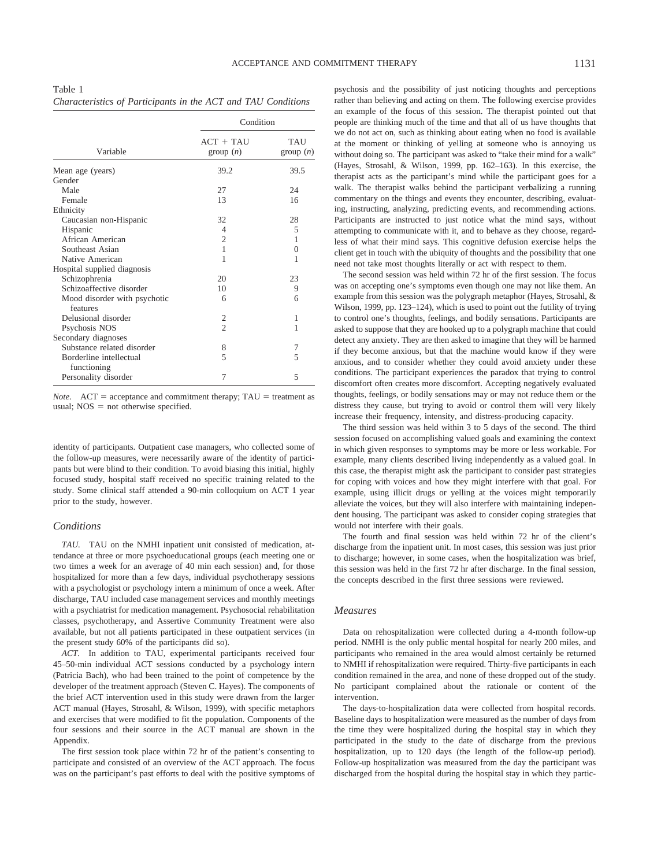Table 1 *Characteristics of Participants in the ACT and TAU Conditions*

|                              | Condition                |                        |  |  |
|------------------------------|--------------------------|------------------------|--|--|
| Variable                     | $ACT + TAIJ$<br>group(n) | <b>TAU</b><br>group(n) |  |  |
| Mean age (years)             | 39.2                     | 39.5                   |  |  |
| Gender                       |                          |                        |  |  |
| Male                         | 27                       | 24                     |  |  |
| Female                       | 13                       | 16                     |  |  |
| Ethnicity                    |                          |                        |  |  |
| Caucasian non-Hispanic       | 32                       | 28                     |  |  |
| Hispanic                     | 4                        | 5                      |  |  |
| African American             | $\overline{2}$           | 1                      |  |  |
| Southeast Asian              | 1                        | $\overline{0}$         |  |  |
| Native American              | 1                        | 1                      |  |  |
| Hospital supplied diagnosis  |                          |                        |  |  |
| Schizophrenia                | 20                       | 23                     |  |  |
| Schizoaffective disorder     | 10                       | 9                      |  |  |
| Mood disorder with psychotic | 6                        | 6                      |  |  |
| features                     |                          |                        |  |  |
| Delusional disorder          | 2                        | 1                      |  |  |
| Psychosis NOS                | $\mathfrak{D}$           | 1                      |  |  |
| Secondary diagnoses          |                          |                        |  |  |
| Substance related disorder   | 8                        | 7                      |  |  |
| Borderline intellectual      | 5                        | 5                      |  |  |
| functioning                  |                          |                        |  |  |
| Personality disorder         | 7                        | 5                      |  |  |

*Note.*  $ACT = acceptance and commitment therapy; TAU = treatment as$ usual;  $NOS = not$  otherwise specified.

identity of participants. Outpatient case managers, who collected some of the follow-up measures, were necessarily aware of the identity of participants but were blind to their condition. To avoid biasing this initial, highly focused study, hospital staff received no specific training related to the study. Some clinical staff attended a 90-min colloquium on ACT 1 year prior to the study, however.

### *Conditions*

*TAU.* TAU on the NMHI inpatient unit consisted of medication, attendance at three or more psychoeducational groups (each meeting one or two times a week for an average of 40 min each session) and, for those hospitalized for more than a few days, individual psychotherapy sessions with a psychologist or psychology intern a minimum of once a week. After discharge, TAU included case management services and monthly meetings with a psychiatrist for medication management. Psychosocial rehabilitation classes, psychotherapy, and Assertive Community Treatment were also available, but not all patients participated in these outpatient services (in the present study 60% of the participants did so).

*ACT.* In addition to TAU, experimental participants received four 45–50-min individual ACT sessions conducted by a psychology intern (Patricia Bach), who had been trained to the point of competence by the developer of the treatment approach (Steven C. Hayes). The components of the brief ACT intervention used in this study were drawn from the larger ACT manual (Hayes, Strosahl, & Wilson, 1999), with specific metaphors and exercises that were modified to fit the population. Components of the four sessions and their source in the ACT manual are shown in the Appendix.

The first session took place within 72 hr of the patient's consenting to participate and consisted of an overview of the ACT approach. The focus was on the participant's past efforts to deal with the positive symptoms of psychosis and the possibility of just noticing thoughts and perceptions rather than believing and acting on them. The following exercise provides an example of the focus of this session. The therapist pointed out that people are thinking much of the time and that all of us have thoughts that we do not act on, such as thinking about eating when no food is available at the moment or thinking of yelling at someone who is annoying us without doing so. The participant was asked to "take their mind for a walk" (Hayes, Strosahl, & Wilson, 1999, pp. 162–163). In this exercise, the therapist acts as the participant's mind while the participant goes for a walk. The therapist walks behind the participant verbalizing a running commentary on the things and events they encounter, describing, evaluating, instructing, analyzing, predicting events, and recommending actions. Participants are instructed to just notice what the mind says, without attempting to communicate with it, and to behave as they choose, regardless of what their mind says. This cognitive defusion exercise helps the client get in touch with the ubiquity of thoughts and the possibility that one need not take most thoughts literally or act with respect to them.

The second session was held within 72 hr of the first session. The focus was on accepting one's symptoms even though one may not like them. An example from this session was the polygraph metaphor (Hayes, Strosahl, & Wilson, 1999, pp. 123–124), which is used to point out the futility of trying to control one's thoughts, feelings, and bodily sensations. Participants are asked to suppose that they are hooked up to a polygraph machine that could detect any anxiety. They are then asked to imagine that they will be harmed if they become anxious, but that the machine would know if they were anxious, and to consider whether they could avoid anxiety under these conditions. The participant experiences the paradox that trying to control discomfort often creates more discomfort. Accepting negatively evaluated thoughts, feelings, or bodily sensations may or may not reduce them or the distress they cause, but trying to avoid or control them will very likely increase their frequency, intensity, and distress-producing capacity.

The third session was held within 3 to 5 days of the second. The third session focused on accomplishing valued goals and examining the context in which given responses to symptoms may be more or less workable. For example, many clients described living independently as a valued goal. In this case, the therapist might ask the participant to consider past strategies for coping with voices and how they might interfere with that goal. For example, using illicit drugs or yelling at the voices might temporarily alleviate the voices, but they will also interfere with maintaining independent housing. The participant was asked to consider coping strategies that would not interfere with their goals.

The fourth and final session was held within 72 hr of the client's discharge from the inpatient unit. In most cases, this session was just prior to discharge; however, in some cases, when the hospitalization was brief, this session was held in the first 72 hr after discharge. In the final session, the concepts described in the first three sessions were reviewed.

#### *Measures*

Data on rehospitalization were collected during a 4-month follow-up period. NMHI is the only public mental hospital for nearly 200 miles, and participants who remained in the area would almost certainly be returned to NMHI if rehospitalization were required. Thirty-five participants in each condition remained in the area, and none of these dropped out of the study. No participant complained about the rationale or content of the intervention.

The days-to-hospitalization data were collected from hospital records. Baseline days to hospitalization were measured as the number of days from the time they were hospitalized during the hospital stay in which they participated in the study to the date of discharge from the previous hospitalization, up to 120 days (the length of the follow-up period). Follow-up hospitalization was measured from the day the participant was discharged from the hospital during the hospital stay in which they partic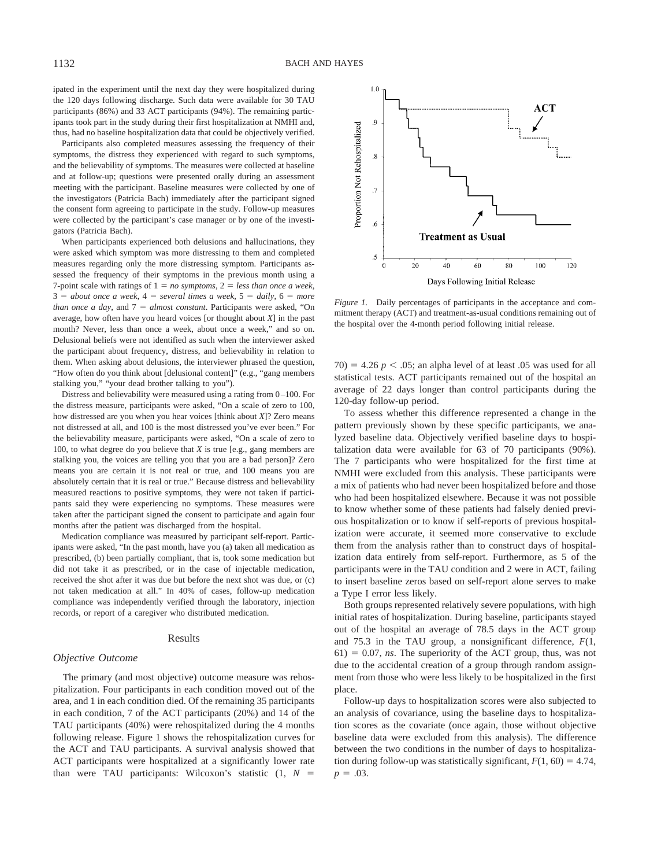ipated in the experiment until the next day they were hospitalized during the 120 days following discharge. Such data were available for 30 TAU participants (86%) and 33 ACT participants (94%). The remaining participants took part in the study during their first hospitalization at NMHI and, thus, had no baseline hospitalization data that could be objectively verified.

Participants also completed measures assessing the frequency of their symptoms, the distress they experienced with regard to such symptoms, and the believability of symptoms. The measures were collected at baseline and at follow-up; questions were presented orally during an assessment meeting with the participant. Baseline measures were collected by one of the investigators (Patricia Bach) immediately after the participant signed the consent form agreeing to participate in the study. Follow-up measures were collected by the participant's case manager or by one of the investigators (Patricia Bach).

When participants experienced both delusions and hallucinations, they were asked which symptom was more distressing to them and completed measures regarding only the more distressing symptom. Participants assessed the frequency of their symptoms in the previous month using a 7-point scale with ratings of  $1 = no$  symptoms,  $2 = less$  than once a week,  $3 = about once a week, 4 = several times a week, 5 = daily, 6 = more$ *than once a day*, and  $7 =$  *almost constant*. Participants were asked, "On average, how often have you heard voices [or thought about *X*] in the past month? Never, less than once a week, about once a week," and so on. Delusional beliefs were not identified as such when the interviewer asked the participant about frequency, distress, and believability in relation to them. When asking about delusions, the interviewer phrased the question, "How often do you think about [delusional content]" (e.g., "gang members stalking you," "your dead brother talking to you").

Distress and believability were measured using a rating from 0–100. For the distress measure, participants were asked, "On a scale of zero to 100, how distressed are you when you hear voices [think about *X*]? Zero means not distressed at all, and 100 is the most distressed you've ever been." For the believability measure, participants were asked, "On a scale of zero to 100, to what degree do you believe that *X* is true [e.g., gang members are stalking you, the voices are telling you that you are a bad person]? Zero means you are certain it is not real or true, and 100 means you are absolutely certain that it is real or true." Because distress and believability measured reactions to positive symptoms, they were not taken if participants said they were experiencing no symptoms. These measures were taken after the participant signed the consent to participate and again four months after the patient was discharged from the hospital.

Medication compliance was measured by participant self-report. Participants were asked, "In the past month, have you (a) taken all medication as prescribed, (b) been partially compliant, that is, took some medication but did not take it as prescribed, or in the case of injectable medication, received the shot after it was due but before the next shot was due, or (c) not taken medication at all." In 40% of cases, follow-up medication compliance was independently verified through the laboratory, injection records, or report of a caregiver who distributed medication.

#### Results

#### *Objective Outcome*

The primary (and most objective) outcome measure was rehospitalization. Four participants in each condition moved out of the area, and 1 in each condition died. Of the remaining 35 participants in each condition, 7 of the ACT participants (20%) and 14 of the TAU participants (40%) were rehospitalized during the 4 months following release. Figure 1 shows the rehospitalization curves for the ACT and TAU participants. A survival analysis showed that ACT participants were hospitalized at a significantly lower rate than were TAU participants: Wilcoxon's statistic  $(1, N =$ 



*Figure 1.* Daily percentages of participants in the acceptance and commitment therapy (ACT) and treatment-as-usual conditions remaining out of the hospital over the 4-month period following initial release.

 $70) = 4.26 p \le 0.05$ ; an alpha level of at least  $0.05$  was used for all statistical tests. ACT participants remained out of the hospital an average of 22 days longer than control participants during the 120-day follow-up period.

To assess whether this difference represented a change in the pattern previously shown by these specific participants, we analyzed baseline data. Objectively verified baseline days to hospitalization data were available for 63 of 70 participants (90%). The 7 participants who were hospitalized for the first time at NMHI were excluded from this analysis. These participants were a mix of patients who had never been hospitalized before and those who had been hospitalized elsewhere. Because it was not possible to know whether some of these patients had falsely denied previous hospitalization or to know if self-reports of previous hospitalization were accurate, it seemed more conservative to exclude them from the analysis rather than to construct days of hospitalization data entirely from self-report. Furthermore, as 5 of the participants were in the TAU condition and 2 were in ACT, failing to insert baseline zeros based on self-report alone serves to make a Type I error less likely.

Both groups represented relatively severe populations, with high initial rates of hospitalization. During baseline, participants stayed out of the hospital an average of 78.5 days in the ACT group and 75.3 in the TAU group, a nonsignificant difference, *F*(1,  $61$ ) = 0.07, *ns*. The superiority of the ACT group, thus, was not due to the accidental creation of a group through random assignment from those who were less likely to be hospitalized in the first place.

Follow-up days to hospitalization scores were also subjected to an analysis of covariance, using the baseline days to hospitalization scores as the covariate (once again, those without objective baseline data were excluded from this analysis). The difference between the two conditions in the number of days to hospitalization during follow-up was statistically significant,  $F(1, 60) = 4.74$ ,  $p = .03$ .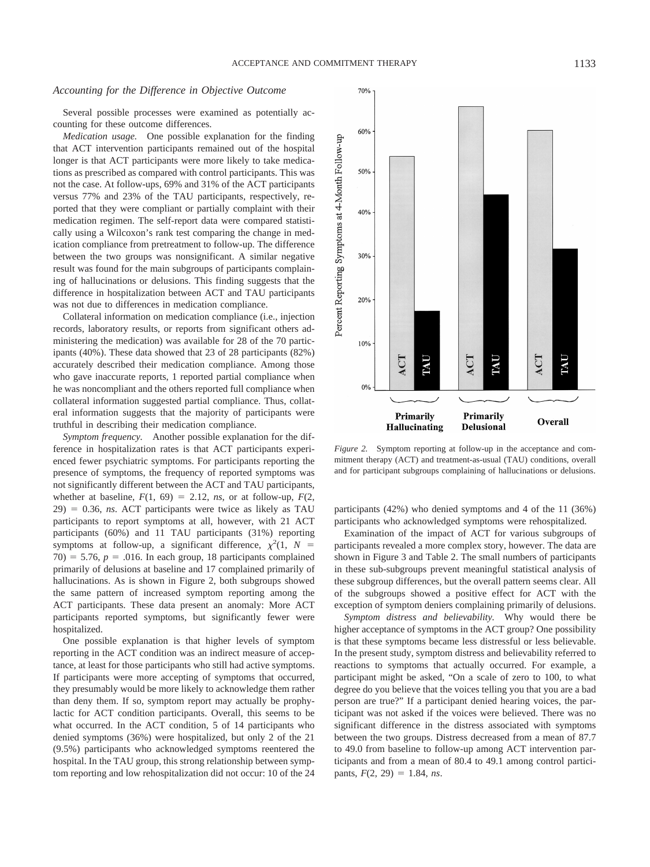70%

60%

#### *Accounting for the Difference in Objective Outcome*

Several possible processes were examined as potentially accounting for these outcome differences.

*Medication usage.* One possible explanation for the finding that ACT intervention participants remained out of the hospital longer is that ACT participants were more likely to take medications as prescribed as compared with control participants. This was not the case. At follow-ups, 69% and 31% of the ACT participants versus 77% and 23% of the TAU participants, respectively, reported that they were compliant or partially complaint with their medication regimen. The self-report data were compared statistically using a Wilcoxon's rank test comparing the change in medication compliance from pretreatment to follow-up. The difference between the two groups was nonsignificant. A similar negative result was found for the main subgroups of participants complaining of hallucinations or delusions. This finding suggests that the difference in hospitalization between ACT and TAU participants was not due to differences in medication compliance.

Collateral information on medication compliance (i.e., injection records, laboratory results, or reports from significant others administering the medication) was available for 28 of the 70 participants (40%). These data showed that 23 of 28 participants (82%) accurately described their medication compliance. Among those who gave inaccurate reports, 1 reported partial compliance when he was noncompliant and the others reported full compliance when collateral information suggested partial compliance. Thus, collateral information suggests that the majority of participants were truthful in describing their medication compliance.

*Symptom frequency.* Another possible explanation for the difference in hospitalization rates is that ACT participants experienced fewer psychiatric symptoms. For participants reporting the presence of symptoms, the frequency of reported symptoms was not significantly different between the ACT and TAU participants, whether at baseline,  $F(1, 69) = 2.12$ , *ns*, or at follow-up,  $F(2, 69) = 2.12$  $29$ ) = 0.36, *ns*. ACT participants were twice as likely as TAU participants to report symptoms at all, however, with 21 ACT participants (60%) and 11 TAU participants (31%) reporting symptoms at follow-up, a significant difference,  $\chi^2(1, N =$  $70) = 5.76$ ,  $p = .016$ . In each group, 18 participants complained primarily of delusions at baseline and 17 complained primarily of hallucinations. As is shown in Figure 2, both subgroups showed the same pattern of increased symptom reporting among the ACT participants. These data present an anomaly: More ACT participants reported symptoms, but significantly fewer were hospitalized.

One possible explanation is that higher levels of symptom reporting in the ACT condition was an indirect measure of acceptance, at least for those participants who still had active symptoms. If participants were more accepting of symptoms that occurred, they presumably would be more likely to acknowledge them rather than deny them. If so, symptom report may actually be prophylactic for ACT condition participants. Overall, this seems to be what occurred. In the ACT condition, 5 of 14 participants who denied symptoms (36%) were hospitalized, but only 2 of the 21 (9.5%) participants who acknowledged symptoms reentered the hospital. In the TAU group, this strong relationship between symptom reporting and low rehospitalization did not occur: 10 of the 24



*Figure 2.* Symptom reporting at follow-up in the acceptance and commitment therapy (ACT) and treatment-as-usual (TAU) conditions, overall and for participant subgroups complaining of hallucinations or delusions.

participants (42%) who denied symptoms and 4 of the 11 (36%) participants who acknowledged symptoms were rehospitalized.

Examination of the impact of ACT for various subgroups of participants revealed a more complex story, however. The data are shown in Figure 3 and Table 2. The small numbers of participants in these sub-subgroups prevent meaningful statistical analysis of these subgroup differences, but the overall pattern seems clear. All of the subgroups showed a positive effect for ACT with the exception of symptom deniers complaining primarily of delusions.

*Symptom distress and believability.* Why would there be higher acceptance of symptoms in the ACT group? One possibility is that these symptoms became less distressful or less believable. In the present study, symptom distress and believability referred to reactions to symptoms that actually occurred. For example, a participant might be asked, "On a scale of zero to 100, to what degree do you believe that the voices telling you that you are a bad person are true?" If a participant denied hearing voices, the participant was not asked if the voices were believed. There was no significant difference in the distress associated with symptoms between the two groups. Distress decreased from a mean of 87.7 to 49.0 from baseline to follow-up among ACT intervention participants and from a mean of 80.4 to 49.1 among control participants,  $F(2, 29) = 1.84$ , *ns*.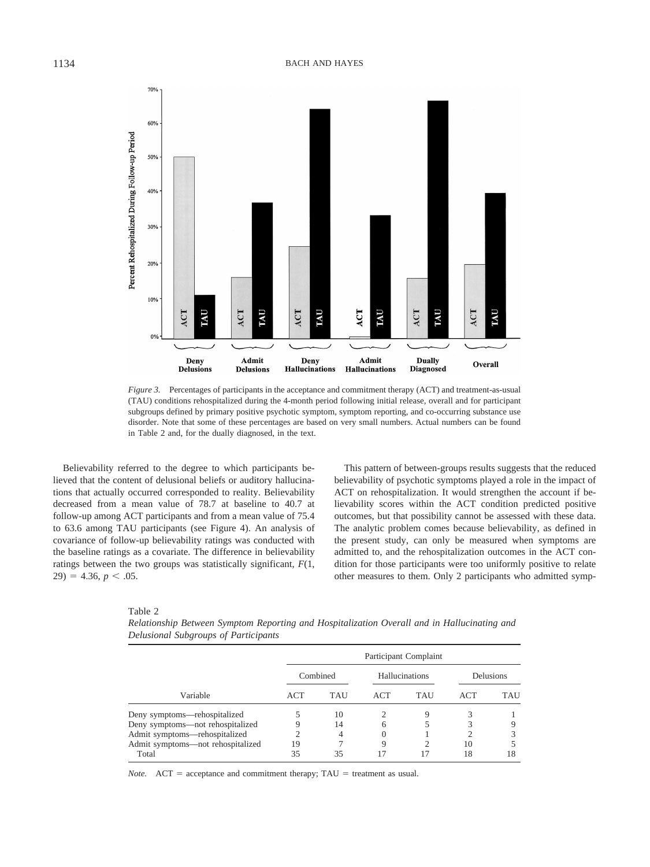

*Figure 3.* Percentages of participants in the acceptance and commitment therapy (ACT) and treatment-as-usual (TAU) conditions rehospitalized during the 4-month period following initial release, overall and for participant subgroups defined by primary positive psychotic symptom, symptom reporting, and co-occurring substance use disorder. Note that some of these percentages are based on very small numbers. Actual numbers can be found in Table 2 and, for the dually diagnosed, in the text.

Believability referred to the degree to which participants believed that the content of delusional beliefs or auditory hallucinations that actually occurred corresponded to reality. Believability decreased from a mean value of 78.7 at baseline to 40.7 at follow-up among ACT participants and from a mean value of 75.4 to 63.6 among TAU participants (see Figure 4). An analysis of covariance of follow-up believability ratings was conducted with the baseline ratings as a covariate. The difference in believability ratings between the two groups was statistically significant, *F*(1,  $(29) = 4.36, p < .05.$ 

This pattern of between-groups results suggests that the reduced believability of psychotic symptoms played a role in the impact of ACT on rehospitalization. It would strengthen the account if believability scores within the ACT condition predicted positive outcomes, but that possibility cannot be assessed with these data. The analytic problem comes because believability, as defined in the present study, can only be measured when symptoms are admitted to, and the rehospitalization outcomes in the ACT condition for those participants were too uniformly positive to relate other measures to them. Only 2 participants who admitted symp-

Table 2

*Relationship Between Symptom Reporting and Hospitalization Overall and in Hallucinating and Delusional Subgroups of Participants*

| Variable                          | Participant Complaint |     |                |            |            |     |  |
|-----------------------------------|-----------------------|-----|----------------|------------|------------|-----|--|
|                                   | Combined              |     | Hallucinations |            | Delusions  |     |  |
|                                   | <b>ACT</b>            | TAU | <b>ACT</b>     | <b>TAU</b> | <b>ACT</b> | TAU |  |
| Deny symptoms—rehospitalized      |                       | 10  | 2              | 9          |            |     |  |
| Deny symptoms-not rehospitalized  | 9                     | 14  | 6              |            |            |     |  |
| Admit symptoms-rehospitalized     | 2                     | 4   | 0              |            |            |     |  |
| Admit symptoms-not rehospitalized | 19                    |     | 9              |            | 10         |     |  |
| Total                             | 35                    | 35  | 17             | 17         | 18         | 18  |  |

*Note.*  $ACT = acceptance and commitment therapy; TAU = treatment as usual.$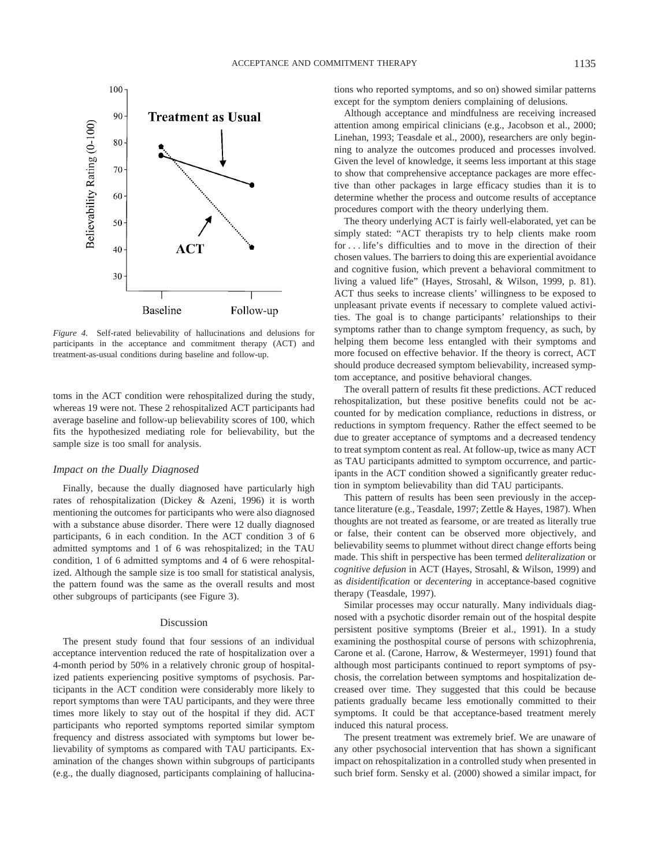

*Figure 4.* Self-rated believability of hallucinations and delusions for participants in the acceptance and commitment therapy (ACT) and treatment-as-usual conditions during baseline and follow-up.

toms in the ACT condition were rehospitalized during the study, whereas 19 were not. These 2 rehospitalized ACT participants had average baseline and follow-up believability scores of 100, which fits the hypothesized mediating role for believability, but the sample size is too small for analysis.

#### *Impact on the Dually Diagnosed*

Finally, because the dually diagnosed have particularly high rates of rehospitalization (Dickey & Azeni, 1996) it is worth mentioning the outcomes for participants who were also diagnosed with a substance abuse disorder. There were 12 dually diagnosed participants, 6 in each condition. In the ACT condition 3 of 6 admitted symptoms and 1 of 6 was rehospitalized; in the TAU condition, 1 of 6 admitted symptoms and 4 of 6 were rehospitalized. Although the sample size is too small for statistical analysis, the pattern found was the same as the overall results and most other subgroups of participants (see Figure 3).

#### Discussion

The present study found that four sessions of an individual acceptance intervention reduced the rate of hospitalization over a 4-month period by 50% in a relatively chronic group of hospitalized patients experiencing positive symptoms of psychosis. Participants in the ACT condition were considerably more likely to report symptoms than were TAU participants, and they were three times more likely to stay out of the hospital if they did. ACT participants who reported symptoms reported similar symptom frequency and distress associated with symptoms but lower believability of symptoms as compared with TAU participants. Examination of the changes shown within subgroups of participants (e.g., the dually diagnosed, participants complaining of hallucinations who reported symptoms, and so on) showed similar patterns except for the symptom deniers complaining of delusions.

Although acceptance and mindfulness are receiving increased attention among empirical clinicians (e.g., Jacobson et al., 2000; Linehan, 1993; Teasdale et al., 2000), researchers are only beginning to analyze the outcomes produced and processes involved. Given the level of knowledge, it seems less important at this stage to show that comprehensive acceptance packages are more effective than other packages in large efficacy studies than it is to determine whether the process and outcome results of acceptance procedures comport with the theory underlying them.

The theory underlying ACT is fairly well-elaborated, yet can be simply stated: "ACT therapists try to help clients make room for . . . life's difficulties and to move in the direction of their chosen values. The barriers to doing this are experiential avoidance and cognitive fusion, which prevent a behavioral commitment to living a valued life" (Hayes, Strosahl, & Wilson, 1999, p. 81). ACT thus seeks to increase clients' willingness to be exposed to unpleasant private events if necessary to complete valued activities. The goal is to change participants' relationships to their symptoms rather than to change symptom frequency, as such, by helping them become less entangled with their symptoms and more focused on effective behavior. If the theory is correct, ACT should produce decreased symptom believability, increased symptom acceptance, and positive behavioral changes.

The overall pattern of results fit these predictions. ACT reduced rehospitalization, but these positive benefits could not be accounted for by medication compliance, reductions in distress, or reductions in symptom frequency. Rather the effect seemed to be due to greater acceptance of symptoms and a decreased tendency to treat symptom content as real. At follow-up, twice as many ACT as TAU participants admitted to symptom occurrence, and participants in the ACT condition showed a significantly greater reduction in symptom believability than did TAU participants.

This pattern of results has been seen previously in the acceptance literature (e.g., Teasdale, 1997; Zettle & Hayes, 1987). When thoughts are not treated as fearsome, or are treated as literally true or false, their content can be observed more objectively, and believability seems to plummet without direct change efforts being made. This shift in perspective has been termed *deliteralization* or *cognitive defusion* in ACT (Hayes, Strosahl, & Wilson, 1999) and as *disidentification* or *decentering* in acceptance-based cognitive therapy (Teasdale, 1997).

Similar processes may occur naturally. Many individuals diagnosed with a psychotic disorder remain out of the hospital despite persistent positive symptoms (Breier et al., 1991). In a study examining the posthospital course of persons with schizophrenia, Carone et al. (Carone, Harrow, & Westermeyer, 1991) found that although most participants continued to report symptoms of psychosis, the correlation between symptoms and hospitalization decreased over time. They suggested that this could be because patients gradually became less emotionally committed to their symptoms. It could be that acceptance-based treatment merely induced this natural process.

The present treatment was extremely brief. We are unaware of any other psychosocial intervention that has shown a significant impact on rehospitalization in a controlled study when presented in such brief form. Sensky et al. (2000) showed a similar impact, for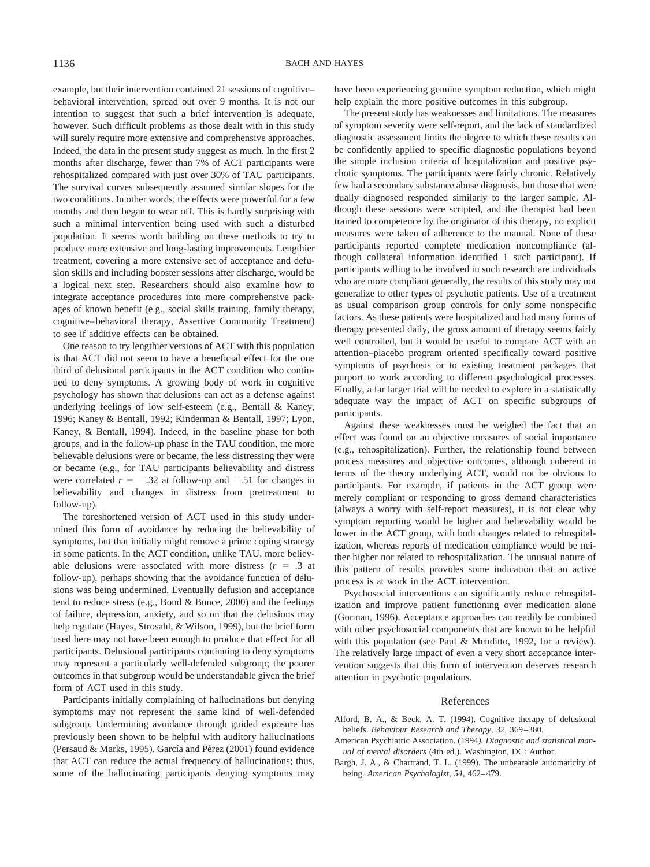example, but their intervention contained 21 sessions of cognitive– behavioral intervention, spread out over 9 months. It is not our intention to suggest that such a brief intervention is adequate, however. Such difficult problems as those dealt with in this study will surely require more extensive and comprehensive approaches. Indeed, the data in the present study suggest as much. In the first 2 months after discharge, fewer than 7% of ACT participants were rehospitalized compared with just over 30% of TAU participants. The survival curves subsequently assumed similar slopes for the two conditions. In other words, the effects were powerful for a few months and then began to wear off. This is hardly surprising with such a minimal intervention being used with such a disturbed population. It seems worth building on these methods to try to produce more extensive and long-lasting improvements. Lengthier treatment, covering a more extensive set of acceptance and defusion skills and including booster sessions after discharge, would be a logical next step. Researchers should also examine how to integrate acceptance procedures into more comprehensive packages of known benefit (e.g., social skills training, family therapy, cognitive–behavioral therapy, Assertive Community Treatment) to see if additive effects can be obtained.

One reason to try lengthier versions of ACT with this population is that ACT did not seem to have a beneficial effect for the one third of delusional participants in the ACT condition who continued to deny symptoms. A growing body of work in cognitive psychology has shown that delusions can act as a defense against underlying feelings of low self-esteem (e.g., Bentall & Kaney, 1996; Kaney & Bentall, 1992; Kinderman & Bentall, 1997; Lyon, Kaney, & Bentall, 1994). Indeed, in the baseline phase for both groups, and in the follow-up phase in the TAU condition, the more believable delusions were or became, the less distressing they were or became (e.g., for TAU participants believability and distress were correlated  $r = -.32$  at follow-up and  $-.51$  for changes in believability and changes in distress from pretreatment to follow-up).

The foreshortened version of ACT used in this study undermined this form of avoidance by reducing the believability of symptoms, but that initially might remove a prime coping strategy in some patients. In the ACT condition, unlike TAU, more believable delusions were associated with more distress  $(r = .3$  at follow-up), perhaps showing that the avoidance function of delusions was being undermined. Eventually defusion and acceptance tend to reduce stress (e.g., Bond & Bunce, 2000) and the feelings of failure, depression, anxiety, and so on that the delusions may help regulate (Hayes, Strosahl, & Wilson, 1999), but the brief form used here may not have been enough to produce that effect for all participants. Delusional participants continuing to deny symptoms may represent a particularly well-defended subgroup; the poorer outcomes in that subgroup would be understandable given the brief form of ACT used in this study.

Participants initially complaining of hallucinations but denying symptoms may not represent the same kind of well-defended subgroup. Undermining avoidance through guided exposure has previously been shown to be helpful with auditory hallucinations (Persaud & Marks, 1995). García and Pérez (2001) found evidence that ACT can reduce the actual frequency of hallucinations; thus, some of the hallucinating participants denying symptoms may have been experiencing genuine symptom reduction, which might help explain the more positive outcomes in this subgroup.

The present study has weaknesses and limitations. The measures of symptom severity were self-report, and the lack of standardized diagnostic assessment limits the degree to which these results can be confidently applied to specific diagnostic populations beyond the simple inclusion criteria of hospitalization and positive psychotic symptoms. The participants were fairly chronic. Relatively few had a secondary substance abuse diagnosis, but those that were dually diagnosed responded similarly to the larger sample. Although these sessions were scripted, and the therapist had been trained to competence by the originator of this therapy, no explicit measures were taken of adherence to the manual. None of these participants reported complete medication noncompliance (although collateral information identified 1 such participant). If participants willing to be involved in such research are individuals who are more compliant generally, the results of this study may not generalize to other types of psychotic patients. Use of a treatment as usual comparison group controls for only some nonspecific factors. As these patients were hospitalized and had many forms of therapy presented daily, the gross amount of therapy seems fairly well controlled, but it would be useful to compare ACT with an attention–placebo program oriented specifically toward positive symptoms of psychosis or to existing treatment packages that purport to work according to different psychological processes. Finally, a far larger trial will be needed to explore in a statistically adequate way the impact of ACT on specific subgroups of participants.

Against these weaknesses must be weighed the fact that an effect was found on an objective measures of social importance (e.g., rehospitalization). Further, the relationship found between process measures and objective outcomes, although coherent in terms of the theory underlying ACT, would not be obvious to participants. For example, if patients in the ACT group were merely compliant or responding to gross demand characteristics (always a worry with self-report measures), it is not clear why symptom reporting would be higher and believability would be lower in the ACT group, with both changes related to rehospitalization, whereas reports of medication compliance would be neither higher nor related to rehospitalization. The unusual nature of this pattern of results provides some indication that an active process is at work in the ACT intervention.

Psychosocial interventions can significantly reduce rehospitalization and improve patient functioning over medication alone (Gorman, 1996). Acceptance approaches can readily be combined with other psychosocial components that are known to be helpful with this population (see Paul & Menditto, 1992, for a review). The relatively large impact of even a very short acceptance intervention suggests that this form of intervention deserves research attention in psychotic populations.

#### References

- Alford, B. A., & Beck, A. T. (1994). Cognitive therapy of delusional beliefs. *Behaviour Research and Therapy, 32,* 369–380.
- American Psychiatric Association. (1994*). Diagnostic and statistical manual of mental disorders* (4th ed.). Washington, DC: Author.
- Bargh, J. A., & Chartrand, T. L. (1999). The unbearable automaticity of being. *American Psychologist, 54,* 462–479.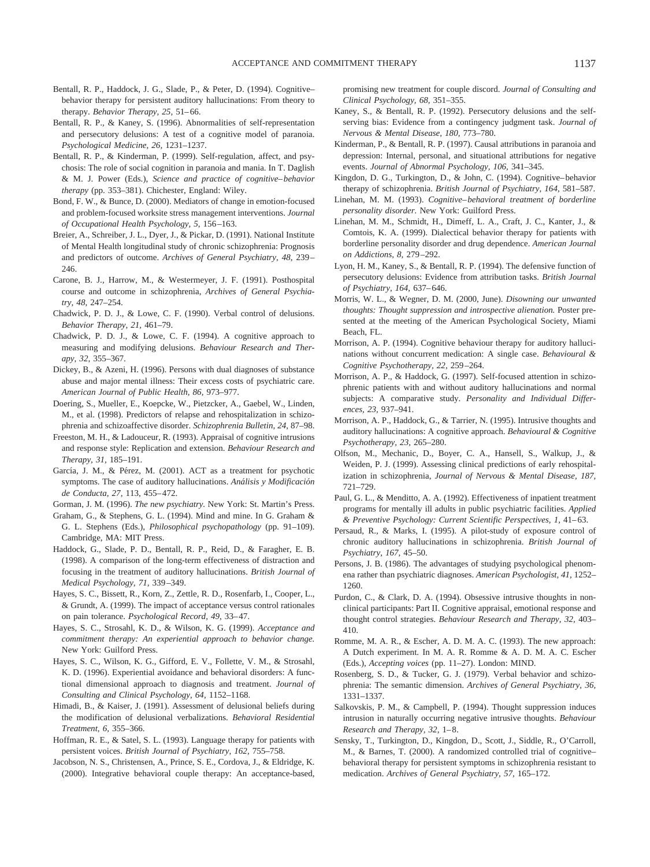- Bentall, R. P., Haddock, J. G., Slade, P., & Peter, D. (1994). Cognitive– behavior therapy for persistent auditory hallucinations: From theory to therapy. *Behavior Therapy, 25,* 51–66.
- Bentall, R. P., & Kaney, S. (1996). Abnormalities of self-representation and persecutory delusions: A test of a cognitive model of paranoia. *Psychological Medicine, 26,* 1231–1237.
- Bentall, R. P., & Kinderman, P. (1999). Self-regulation, affect, and psychosis: The role of social cognition in paranoia and mania. In T. Daglish & M. J. Power (Eds.), *Science and practice of cognitive–behavior therapy* (pp. 353–381). Chichester, England: Wiley.
- Bond, F. W., & Bunce, D. (2000). Mediators of change in emotion-focused and problem-focused worksite stress management interventions. *Journal of Occupational Health Psychology, 5,* 156–163.
- Breier, A., Schreiber, J. L., Dyer, J., & Pickar, D. (1991). National Institute of Mental Health longitudinal study of chronic schizophrenia: Prognosis and predictors of outcome. *Archives of General Psychiatry, 48,* 239– 246.
- Carone, B. J., Harrow, M., & Westermeyer, J. F. (1991). Posthospital course and outcome in schizophrenia, *Archives of General Psychiatry, 48,* 247–254.
- Chadwick, P. D. J., & Lowe, C. F. (1990). Verbal control of delusions. *Behavior Therapy, 21,* 461–79.
- Chadwick, P. D. J., & Lowe, C. F. (1994). A cognitive approach to measuring and modifying delusions. *Behaviour Research and Therapy, 32,* 355–367.
- Dickey, B., & Azeni, H. (1996). Persons with dual diagnoses of substance abuse and major mental illness: Their excess costs of psychiatric care. *American Journal of Public Health, 86,* 973–977.
- Doering, S., Mueller, E., Koepcke, W., Pietzcker, A., Gaebel, W., Linden, M., et al. (1998). Predictors of relapse and rehospitalization in schizophrenia and schizoaffective disorder. *Schizophrenia Bulletin, 24,* 87–98.
- Freeston, M. H., & Ladouceur, R. (1993). Appraisal of cognitive intrusions and response style: Replication and extension. *Behaviour Research and Therapy, 31,* 185–191.
- García, J. M., & Pérez, M. (2001). ACT as a treatment for psychotic symptoms. The case of auditory hallucinations. *Análisis y Modificación de Conducta, 27,* 113, 455–472.
- Gorman, J. M. (1996). *The new psychiatry.* New York: St. Martin's Press.
- Graham, G., & Stephens, G. L. (1994). Mind and mine. In G. Graham & G. L. Stephens (Eds.), *Philosophical psychopathology* (pp. 91–109). Cambridge, MA: MIT Press.
- Haddock, G., Slade, P. D., Bentall, R. P., Reid, D., & Faragher, E. B. (1998). A comparison of the long-term effectiveness of distraction and focusing in the treatment of auditory hallucinations. *British Journal of Medical Psychology, 71,* 339–349.
- Hayes, S. C., Bissett, R., Korn, Z., Zettle, R. D., Rosenfarb, I., Cooper, L., & Grundt, A. (1999). The impact of acceptance versus control rationales on pain tolerance. *Psychological Record, 49,* 33–47.
- Hayes, S. C., Strosahl, K. D., & Wilson, K. G. (1999). *Acceptance and commitment therapy: An experiential approach to behavior change.* New York: Guilford Press.
- Hayes, S. C., Wilson, K. G., Gifford, E. V., Follette, V. M., & Strosahl, K. D. (1996). Experiential avoidance and behavioral disorders: A functional dimensional approach to diagnosis and treatment. *Journal of Consulting and Clinical Psychology, 64,* 1152–1168.
- Himadi, B., & Kaiser, J. (1991). Assessment of delusional beliefs during the modification of delusional verbalizations. *Behavioral Residential Treatment, 6,* 355–366.
- Hoffman, R. E., & Satel, S. L. (1993). Language therapy for patients with persistent voices. *British Journal of Psychiatry, 162,* 755–758.
- Jacobson, N. S., Christensen, A., Prince, S. E., Cordova, J., & Eldridge, K. (2000). Integrative behavioral couple therapy: An acceptance-based,

promising new treatment for couple discord. *Journal of Consulting and Clinical Psychology, 68,* 351–355.

- Kaney, S., & Bentall, R. P. (1992). Persecutory delusions and the selfserving bias: Evidence from a contingency judgment task. *Journal of Nervous & Mental Disease, 180,* 773–780.
- Kinderman, P., & Bentall, R. P. (1997). Causal attributions in paranoia and depression: Internal, personal, and situational attributions for negative events. *Journal of Abnormal Psychology, 106,* 341–345.
- Kingdon, D. G., Turkington, D., & John, C. (1994). Cognitive–behavior therapy of schizophrenia. *British Journal of Psychiatry, 164,* 581–587.
- Linehan, M. M. (1993). *Cognitive–behavioral treatment of borderline personality disorder.* New York: Guilford Press.
- Linehan, M. M., Schmidt, H., Dimeff, L. A., Craft, J. C., Kanter, J., & Comtois, K. A. (1999). Dialectical behavior therapy for patients with borderline personality disorder and drug dependence. *American Journal on Addictions, 8,* 279–292.
- Lyon, H. M., Kaney, S., & Bentall, R. P. (1994). The defensive function of persecutory delusions: Evidence from attribution tasks. *British Journal of Psychiatry, 164,* 637–646.
- Morris, W. L., & Wegner, D. M. (2000, June). *Disowning our unwanted thoughts: Thought suppression and introspective alienation.* Poster presented at the meeting of the American Psychological Society, Miami Beach, FL.
- Morrison, A. P. (1994). Cognitive behaviour therapy for auditory hallucinations without concurrent medication: A single case. *Behavioural & Cognitive Psychotherapy, 22,* 259–264.
- Morrison, A. P., & Haddock, G. (1997). Self-focused attention in schizophrenic patients with and without auditory hallucinations and normal subjects: A comparative study. *Personality and Individual Differences, 23,* 937–941.
- Morrison, A. P., Haddock, G., & Tarrier, N. (1995). Intrusive thoughts and auditory hallucinations: A cognitive approach. *Behavioural & Cognitive Psychotherapy, 23,* 265–280.
- Olfson, M., Mechanic, D., Boyer, C. A., Hansell, S., Walkup, J., & Weiden, P. J. (1999). Assessing clinical predictions of early rehospitalization in schizophrenia, *Journal of Nervous & Mental Disease, 187,* 721–729.
- Paul, G. L., & Menditto, A. A. (1992). Effectiveness of inpatient treatment programs for mentally ill adults in public psychiatric facilities. *Applied & Preventive Psychology: Current Scientific Perspectives, 1,* 41–63.
- Persaud, R., & Marks, I. (1995). A pilot-study of exposure control of chronic auditory hallucinations in schizophrenia. *British Journal of Psychiatry, 167,* 45–50.
- Persons, J. B. (1986). The advantages of studying psychological phenomena rather than psychiatric diagnoses. *American Psychologist, 41,* 1252– 1260.
- Purdon, C., & Clark, D. A. (1994). Obsessive intrusive thoughts in nonclinical participants: Part II. Cognitive appraisal, emotional response and thought control strategies. *Behaviour Research and Therapy, 32,* 403– 410.
- Romme, M. A. R., & Escher, A. D. M. A. C. (1993). The new approach: A Dutch experiment. In M. A. R. Romme & A. D. M. A. C. Escher (Eds.), *Accepting voices* (pp. 11–27). London: MIND.
- Rosenberg, S. D., & Tucker, G. J. (1979). Verbal behavior and schizophrenia: The semantic dimension. *Archives of General Psychiatry, 36,* 1331–1337.
- Salkovskis, P. M., & Campbell, P. (1994). Thought suppression induces intrusion in naturally occurring negative intrusive thoughts. *Behaviour Research and Therapy, 32,* 1–8.
- Sensky, T., Turkington, D., Kingdon, D., Scott, J., Siddle, R., O'Carroll, M., & Barnes, T. (2000). A randomized controlled trial of cognitive– behavioral therapy for persistent symptoms in schizophrenia resistant to medication. *Archives of General Psychiatry, 57,* 165–172.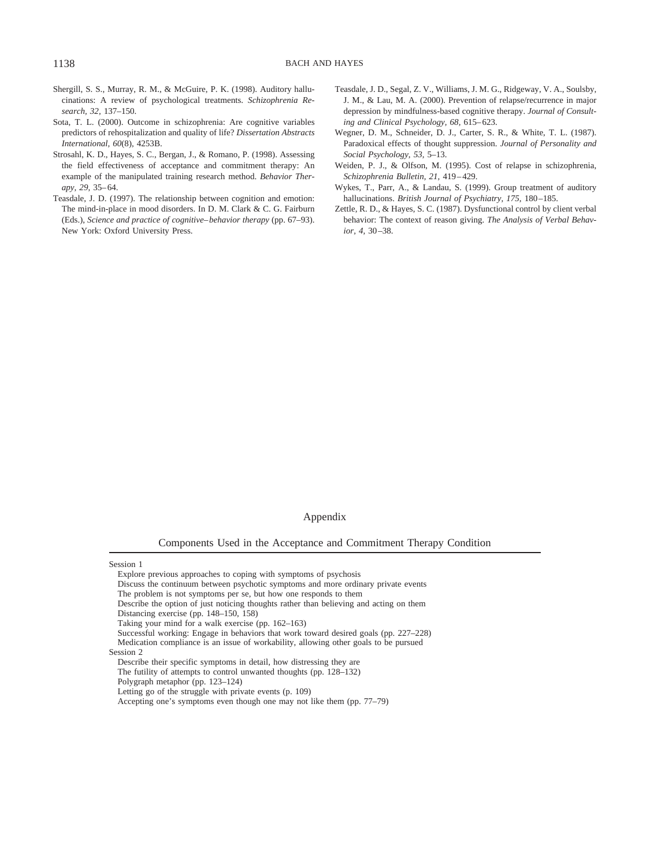- Shergill, S. S., Murray, R. M., & McGuire, P. K. (1998). Auditory hallucinations: A review of psychological treatments. *Schizophrenia Research, 32,* 137–150.
- Sota, T. L. (2000). Outcome in schizophrenia: Are cognitive variables predictors of rehospitalization and quality of life? *Dissertation Abstracts International, 60*(8)*,* 4253B.
- Strosahl, K. D., Hayes, S. C., Bergan, J., & Romano, P. (1998). Assessing the field effectiveness of acceptance and commitment therapy: An example of the manipulated training research method. *Behavior Therapy, 29,* 35–64.
- Teasdale, J. D. (1997). The relationship between cognition and emotion: The mind-in-place in mood disorders. In D. M. Clark & C. G. Fairburn (Eds.), *Science and practice of cognitive–behavior therapy* (pp. 67–93). New York: Oxford University Press.
- Teasdale, J. D., Segal, Z. V., Williams, J. M. G., Ridgeway, V. A., Soulsby, J. M., & Lau, M. A. (2000). Prevention of relapse/recurrence in major depression by mindfulness-based cognitive therapy. *Journal of Consulting and Clinical Psychology, 68,* 615–623.
- Wegner, D. M., Schneider, D. J., Carter, S. R., & White, T. L. (1987). Paradoxical effects of thought suppression. *Journal of Personality and Social Psychology, 53,* 5–13.
- Weiden, P. J., & Olfson, M. (1995). Cost of relapse in schizophrenia, *Schizophrenia Bulletin, 21,* 419–429.
- Wykes, T., Parr, A., & Landau, S. (1999). Group treatment of auditory hallucinations. *British Journal of Psychiatry, 175,* 180–185.
- Zettle, R. D., & Hayes, S. C. (1987). Dysfunctional control by client verbal behavior: The context of reason giving. *The Analysis of Verbal Behavior, 4,* 30–38.

#### Appendix

Components Used in the Acceptance and Commitment Therapy Condition

Session 1

- The problem is not symptoms per se, but how one responds to them
- Describe the option of just noticing thoughts rather than believing and acting on them Distancing exercise (pp. 148–150, 158)

Medication compliance is an issue of workability, allowing other goals to be pursued

The futility of attempts to control unwanted thoughts (pp. 128–132)

Explore previous approaches to coping with symptoms of psychosis

Discuss the continuum between psychotic symptoms and more ordinary private events

Taking your mind for a walk exercise (pp. 162–163)

Successful working: Engage in behaviors that work toward desired goals (pp. 227–228)

Session 2

Describe their specific symptoms in detail, how distressing they are

Polygraph metaphor (pp. 123–124)

Letting go of the struggle with private events (p. 109)

Accepting one's symptoms even though one may not like them (pp. 77–79)